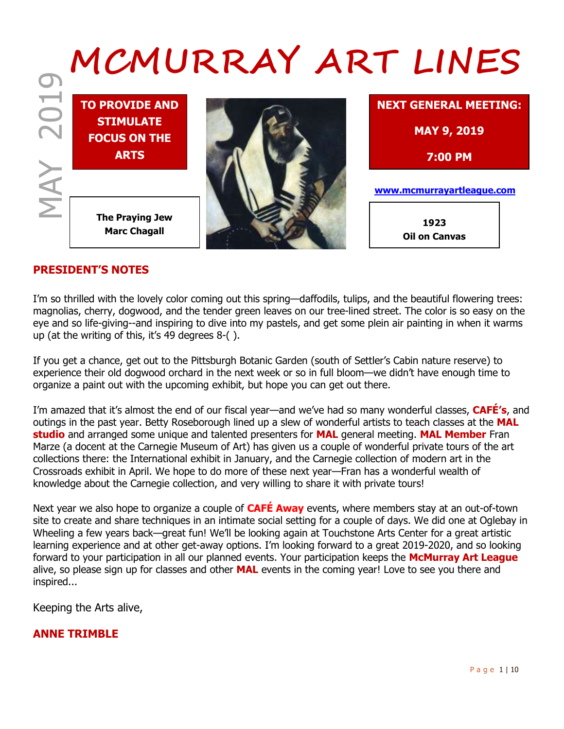

## **PRESIDENT'S NOTES**

I'm so thrilled with the lovely color coming out this spring—daffodils, tulips, and the beautiful flowering trees: magnolias, cherry, dogwood, and the tender green leaves on our tree-lined street. The color is so easy on the eye and so life-giving--and inspiring to dive into my pastels, and get some plein air painting in when it warms up (at the writing of this, it's 49 degrees 8-( ).

If you get a chance, get out to the Pittsburgh Botanic Garden (south of Settler's Cabin nature reserve) to experience their old dogwood orchard in the next week or so in full bloom—we didn't have enough time to organize a paint out with the upcoming exhibit, but hope you can get out there.

I'm amazed that it's almost the end of our fiscal year—and we've had so many wonderful classes, **CAFÉ's**, and outings in the past year. Betty Roseborough lined up a slew of wonderful artists to teach classes at the **MAL studio** and arranged some unique and talented presenters for **MAL** general meeting. **MAL Member** Fran Marze (a docent at the Carnegie Museum of Art) has given us a couple of wonderful private tours of the art collections there: the International exhibit in January, and the Carnegie collection of modern art in the Crossroads exhibit in April. We hope to do more of these next year—Fran has a wonderful wealth of knowledge about the Carnegie collection, and very willing to share it with private tours!

Next year we also hope to organize a couple of **CAFÉ Away** events, where members stay at an out-of-town site to create and share techniques in an intimate social setting for a couple of days. We did one at Oglebay in Wheeling a few years back—great fun! We'll be looking again at Touchstone Arts Center for a great artistic learning experience and at other get-away options. I'm looking forward to a great 2019-2020, and so looking forward to your participation in all our planned events. Your participation keeps the **McMurray Art League** alive, so please sign up for classes and other **MAL** events in the coming year! Love to see you there and inspired...

Keeping the Arts alive,

## **ANNE TRIMBLE**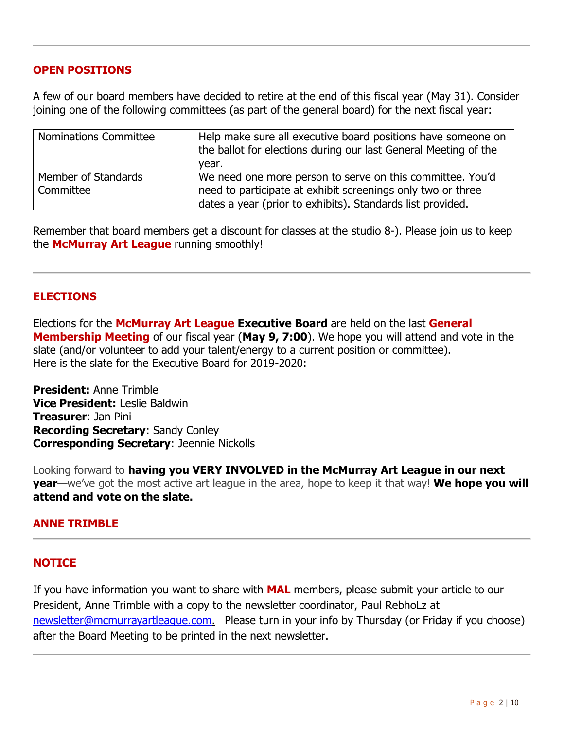## **OPEN POSITIONS**

A few of our board members have decided to retire at the end of this fiscal year (May 31). Consider joining one of the following committees (as part of the general board) for the next fiscal year:

| Nominations Committee            | Help make sure all executive board positions have someone on<br>the ballot for elections during our last General Meeting of the<br>vear.                                               |
|----------------------------------|----------------------------------------------------------------------------------------------------------------------------------------------------------------------------------------|
| Member of Standards<br>Committee | We need one more person to serve on this committee. You'd<br>need to participate at exhibit screenings only two or three<br>dates a year (prior to exhibits). Standards list provided. |

Remember that board members get a discount for classes at the studio 8-). Please join us to keep the **McMurray Art League** running smoothly!

## **ELECTIONS**

Elections for the **McMurray Art League Executive Board** are held on the last **General Membership Meeting** of our fiscal year (**May 9, 7:00**). We hope you will attend and vote in the slate (and/or volunteer to add your talent/energy to a current position or committee). Here is the slate for the Executive Board for 2019-2020:

**President:** Anne Trimble **Vice President:** Leslie Baldwin **Treasurer**: Jan Pini **Recording Secretary**: Sandy Conley **Corresponding Secretary**: Jeennie Nickolls

Looking forward to **having you VERY INVOLVED in the McMurray Art League in our next year**—we've got the most active art league in the area, hope to keep it that way! **We hope you will attend and vote on the slate.**

### **ANNE TRIMBLE**

### **NOTICE**

If you have information you want to share with **MAL** members, please submit your article to our President, Anne Trimble with a copy to the newsletter coordinator, Paul RebhoLz at [newsletter@mcmurrayartleague.com.](mailto:newsletter@mcmurrayartleague.com)Please turn in your info by Thursday (or Friday if you choose) after the Board Meeting to be printed in the next newsletter.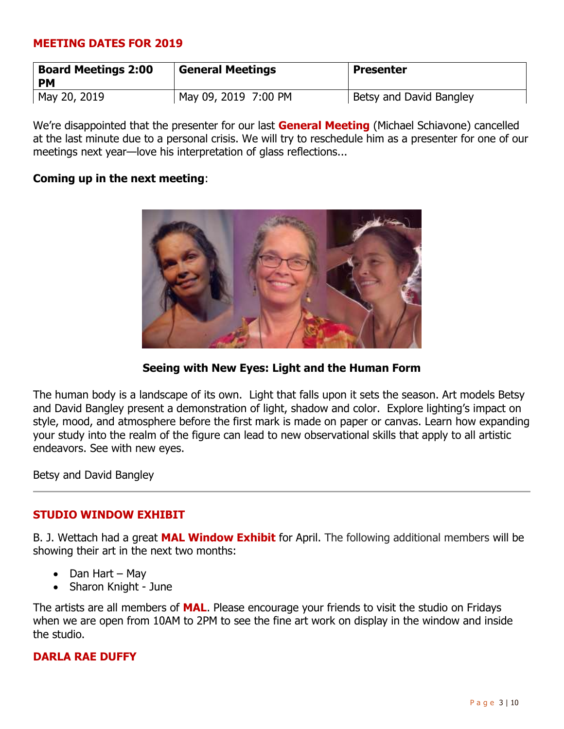## **MEETING DATES FOR 2019**

| <b>Board Meetings 2:00</b><br><b>PM</b> | <b>General Meetings</b> | <b>Presenter</b>        |
|-----------------------------------------|-------------------------|-------------------------|
| May 20, 2019                            | May 09, 2019 7:00 PM    | Betsy and David Bangley |

We're disappointed that the presenter for our last **General Meeting** (Michael Schiavone) cancelled at the last minute due to a personal crisis. We will try to reschedule him as a presenter for one of our meetings next year—love his interpretation of glass reflections...

### **Coming up in the next meeting**:



## **Seeing with New Eyes: Light and the Human Form**

The human body is a landscape of its own. Light that falls upon it sets the season. Art models Betsy and David Bangley present a demonstration of light, shadow and color. Explore lighting's impact on style, mood, and atmosphere before the first mark is made on paper or canvas. Learn how expanding your study into the realm of the figure can lead to new observational skills that apply to all artistic endeavors. See with new eyes.

Betsy and David Bangley

### **STUDIO WINDOW EXHIBIT**

B. J. Wettach had a great **MAL Window Exhibit** for April. The following additional members will be showing their art in the next two months:

- $\bullet$  Dan Hart May
- Sharon Knight June

The artists are all members of **MAL**. Please encourage your friends to visit the studio on Fridays when we are open from 10AM to 2PM to see the fine art work on display in the window and inside the studio.

### **DARLA RAE DUFFY**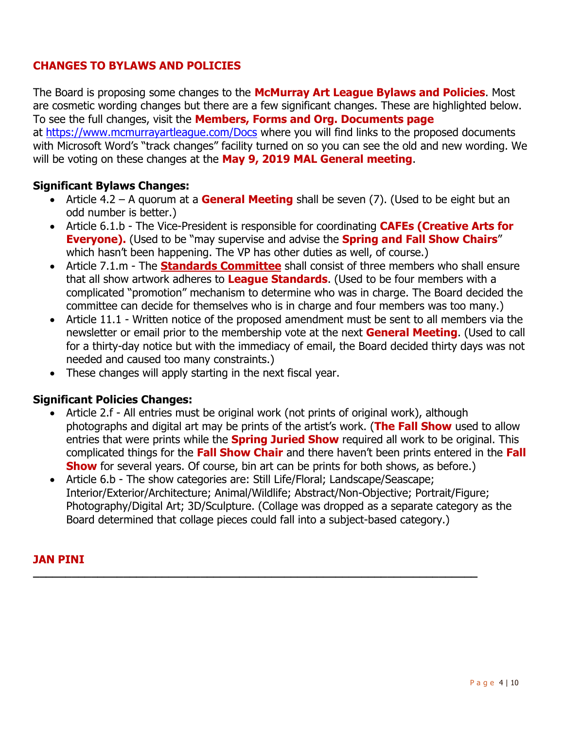# **CHANGES TO BYLAWS AND POLICIES**

The Board is proposing some changes to the **McMurray Art League Bylaws and Policies**. Most are cosmetic wording changes but there are a few significant changes. These are highlighted below. To see the full changes, visit the **Members, Forms and Org. Documents page**  at <https://www.mcmurrayartleague.com/Docs> where you will find links to the proposed documents with Microsoft Word's "track changes" facility turned on so you can see the old and new wording. We will be voting on these changes at the **May 9, 2019 MAL General meeting**.

### **Significant Bylaws Changes:**

- Article 4.2 A quorum at a **General Meeting** shall be seven (7). (Used to be eight but an odd number is better.)
- Article 6.1.b The Vice-President is responsible for coordinating **CAFEs (Creative Arts for Everyone).** (Used to be "may supervise and advise the **Spring and Fall Show Chairs**" which hasn't been happening. The VP has other duties as well, of course.)
- Article 7.1.m The **Standards Committee** shall consist of three members who shall ensure that all show artwork adheres to **League Standards**. (Used to be four members with a complicated "promotion" mechanism to determine who was in charge. The Board decided the committee can decide for themselves who is in charge and four members was too many.)
- Article 11.1 Written notice of the proposed amendment must be sent to all members via the newsletter or email prior to the membership vote at the next **General Meeting**. (Used to call for a thirty-day notice but with the immediacy of email, the Board decided thirty days was not needed and caused too many constraints.)
- These changes will apply starting in the next fiscal year.

### **Significant Policies Changes:**

- Article 2.f All entries must be original work (not prints of original work), although photographs and digital art may be prints of the artist's work. (**The Fall Show** used to allow entries that were prints while the **Spring Juried Show** required all work to be original. This complicated things for the **Fall Show Chair** and there haven't been prints entered in the **Fall Show** for several years. Of course, bin art can be prints for both shows, as before.)
- Article 6.b The show categories are: Still Life/Floral; Landscape/Seascape; Interior/Exterior/Architecture; Animal/Wildlife; Abstract/Non-Objective; Portrait/Figure; Photography/Digital Art; 3D/Sculpture. (Collage was dropped as a separate category as the Board determined that collage pieces could fall into a subject-based category.)

**\_\_\_\_\_\_\_\_\_\_\_\_\_\_\_\_\_\_\_\_\_\_\_\_\_\_\_\_\_\_\_\_\_\_\_\_\_\_\_\_\_\_\_\_\_\_\_\_\_\_\_\_\_\_\_\_\_\_\_\_\_\_\_\_\_\_\_\_\_**

### **JAN PINI**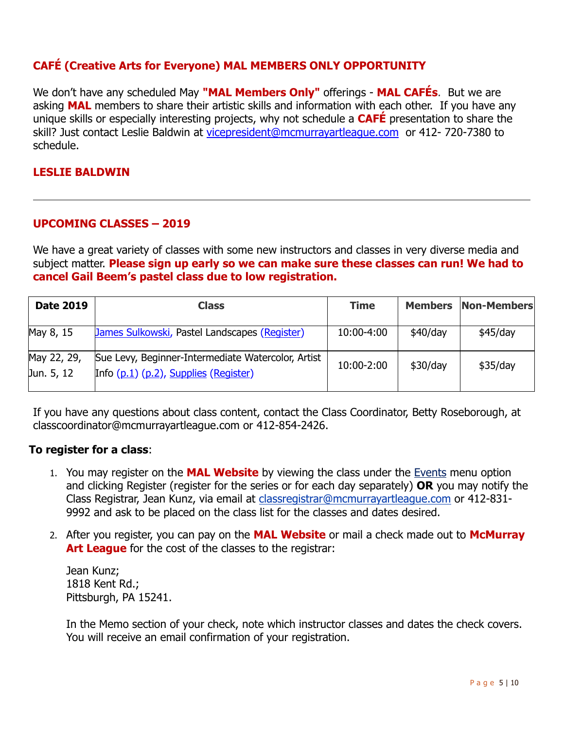# **CAFÉ (Creative Arts for Everyone) MAL MEMBERS ONLY OPPORTUNITY**

We don't have any scheduled May **"MAL Members Only"** offerings - **MAL CAFÉs**. But we are asking **MAL** members to share their artistic skills and information with each other. If you have any unique skills or especially interesting projects, why not schedule a **CAFÉ** presentation to share the skill? Just contact Leslie Baldwin at [vicepresident@mcmurrayartleague.com](mailto:vicepresident@mcmurrayartleague.com) or 412- 720-7380 to schedule.

### **LESLIE BALDWIN**

### **UPCOMING CLASSES – 2019**

We have a great variety of classes with some new instructors and classes in very diverse media and subject matter. **Please sign up early so we can make sure these classes can run! We had to cancel Gail Beem's pastel class due to low registration.**

| <b>Date 2019</b>          | <b>Class</b>                                                                                     | <b>Time</b> |          | <b>Members Non-Members</b> |
|---------------------------|--------------------------------------------------------------------------------------------------|-------------|----------|----------------------------|
| May 8, 15                 | James Sulkowski, Pastel Landscapes (Register)                                                    | 10:00-4:00  | \$40/day | \$45/day                   |
| May 22, 29,<br>Jun. 5, 12 | Sue Levy, Beginner-Intermediate Watercolor, Artist<br>Info $(p.1)$ $(p.2)$ , Supplies (Register) | 10:00-2:00  | \$30/day | \$35/day                   |

If you have any questions about class content, contact the Class Coordinator, Betty Roseborough, at classcoordinator@mcmurrayartleague.com or 412-854-2426.

### **To register for a class**:

- 1. You may register on the **MAL Website** by viewing the class under the [Events](https://www.mcmurrayartleague.com/page-1498580) menu option and clicking Register (register for the series or for each day separately) **OR** you may notify the Class Registrar, Jean Kunz, via email at [classregistrar@mcmurrayartleague.com](mailto:classregistrar@mcmurrayartleague.com) or 412-831- 9992 and ask to be placed on the class list for the classes and dates desired.
- 2. After you register, you can pay on the **MAL Website** or mail a check made out to **McMurray**  Art League for the cost of the classes to the registrar:

Jean Kunz; 1818 Kent Rd.; Pittsburgh, PA 15241.

In the Memo section of your check, note which instructor classes and dates the check covers. You will receive an email confirmation of your registration.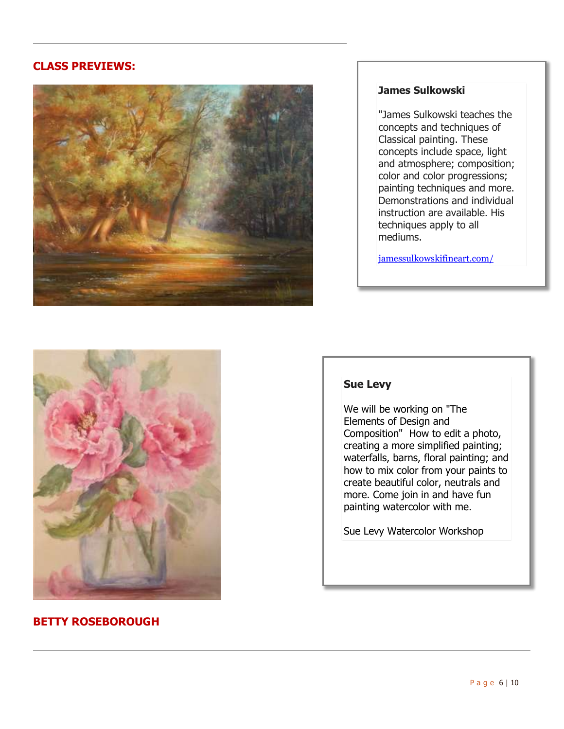## **CLASS PREVIEWS:**



### **James Sulkowski**

"James Sulkowski teaches the concepts and techniques of Classical painting. These concepts include space, light and atmosphere; composition; color and color progressions; painting techniques and more. Demonstrations and individual instruction are available. His techniques apply to all mediums.

jamessulkowskifineart.com/



### **Sue Levy**

We will be working on "The Elements of Design and Composition" How to edit a photo, creating a more simplified painting; waterfalls, barns, floral painting; and how to mix color from your paints to create beautiful color, neutrals and more. Come join in and have fun painting watercolor with me.

Sue Levy Watercolor Workshop

### **BETTY ROSEBOROUGH**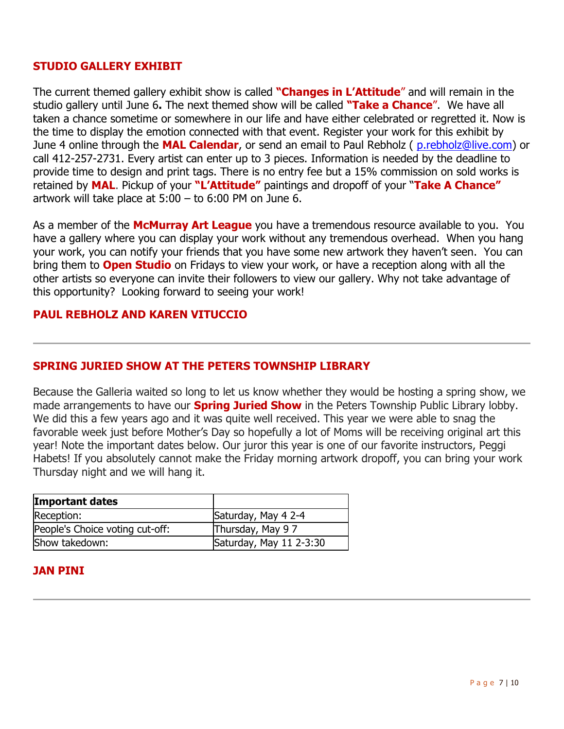## **STUDIO GALLERY EXHIBIT**

The current themed gallery exhibit show is called **"Changes in L'Attitude**" and will remain in the studio gallery until June 6**.** The next themed show will be called **"Take a Chance**‖. We have all taken a chance sometime or somewhere in our life and have either celebrated or regretted it. Now is the time to display the emotion connected with that event. Register your work for this exhibit by June 4 online through the **MAL Calendar**, or send an email to Paul Rebholz ( [p.rebholz@live.com\)](mailto:p.rebholz@live.com) or call 412-257-2731. Every artist can enter up to 3 pieces. Information is needed by the deadline to provide time to design and print tags. There is no entry fee but a 15% commission on sold works is retained by **MAL**. Pickup of your "L'Attitude" paintings and dropoff of your "Take A Chance" artwork will take place at 5:00 – to 6:00 PM on June 6.

As a member of the **McMurray Art League** you have a tremendous resource available to you. You have a gallery where you can display your work without any tremendous overhead. When you hang your work, you can notify your friends that you have some new artwork they haven't seen. You can bring them to **Open Studio** on Fridays to view your work, or have a reception along with all the other artists so everyone can invite their followers to view our gallery. Why not take advantage of this opportunity? Looking forward to seeing your work!

### **PAUL REBHOLZ AND KAREN VITUCCIO**

**SPRING JURIED SHOW AT THE PETERS TOWNSHIP LIBRARY**

Because the Galleria waited so long to let us know whether they would be hosting a spring show, we made arrangements to have our **Spring Juried Show** in the Peters Township Public Library lobby. We did this a few years ago and it was quite well received. This year we were able to snag the favorable week just before Mother's Day so hopefully a lot of Moms will be receiving original art this year! Note the important dates below. Our juror this year is one of our favorite instructors, Peggi Habets! If you absolutely cannot make the Friday morning artwork dropoff, you can bring your work Thursday night and we will hang it.

| Important dates                 |                         |
|---------------------------------|-------------------------|
| Reception:                      | Saturday, May 4 2-4     |
| People's Choice voting cut-off: | Thursday, May 97        |
| Show takedown:                  | Saturday, May 11 2-3:30 |

### **JAN PINI**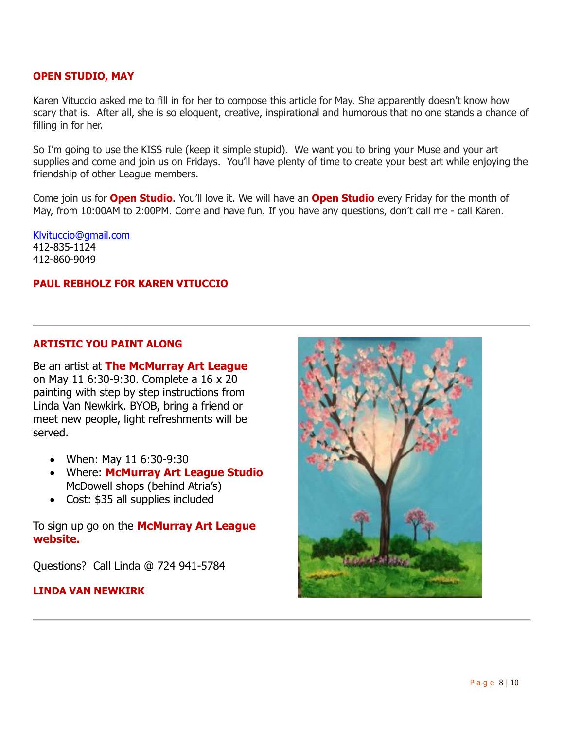#### **OPEN STUDIO, MAY**

Karen Vituccio asked me to fill in for her to compose this article for May. She apparently doesn't know how scary that is. After all, she is so eloquent, creative, inspirational and humorous that no one stands a chance of filling in for her.

So I'm going to use the KISS rule (keep it simple stupid). We want you to bring your Muse and your art supplies and come and join us on Fridays. You'll have plenty of time to create your best art while enjoying the friendship of other League members.

Come join us for **Open Studio**. You'll love it. We will have an **Open Studio** every Friday for the month of May, from 10:00AM to 2:00PM. Come and have fun. If you have any questions, don't call me - call Karen.

[Klvituccio@gmail.com](mailto:Klvituccio@gmail.com) 412-835-1124 412-860-9049

### **PAUL REBHOLZ FOR KAREN VITUCCIO**

#### **ARTISTIC YOU PAINT ALONG**

Be an artist at **The McMurray Art League** on May 11 6:30-9:30. Complete a 16 x 20 painting with step by step instructions from Linda Van Newkirk. BYOB, bring a friend or meet new people, light refreshments will be served.

- When: May 11 6:30-9:30
- Where: **McMurray Art League Studio** McDowell shops (behind Atria's)
- Cost: \$35 all supplies included

To sign up go on the **McMurray Art League website.**

Questions? Call Linda @ 724 941-5784

#### **LINDA VAN NEWKIRK**

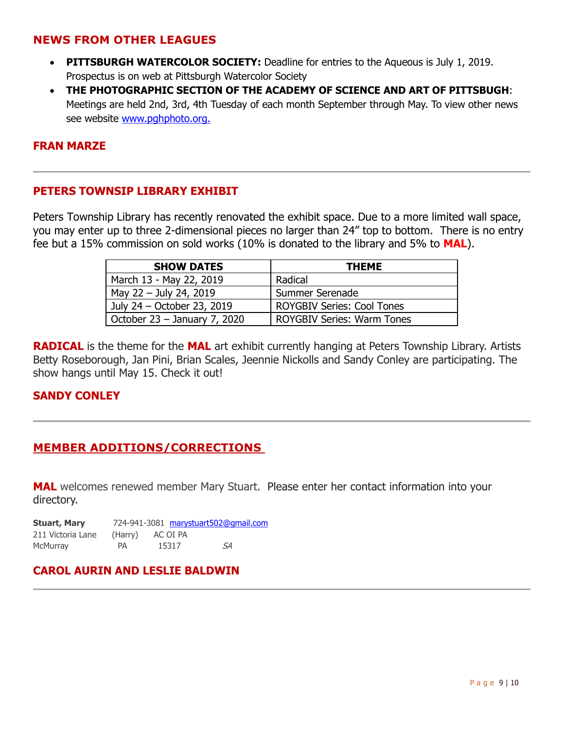## **NEWS FROM OTHER LEAGUES**

- **PITTSBURGH WATERCOLOR SOCIETY:** Deadline for entries to the Aqueous is July 1, 2019. Prospectus is on web at Pittsburgh Watercolor Society
- **THE PHOTOGRAPHIC SECTION OF THE ACADEMY OF SCIENCE AND ART OF PITTSBUGH**: Meetings are held 2nd, 3rd, 4th Tuesday of each month September through May. To view other news see website [www.pghphoto.org.](file:///C:/Users/prebh/Desktop/MAL%20Newsletters/2019-03%20Newsletter/www.pghphoto.org)

### **FRAN MARZE**

### **PETERS TOWNSIP LIBRARY EXHIBIT**

Peters Township Library has recently renovated the exhibit space. Due to a more limited wall space, you may enter up to three 2-dimensional pieces no larger than 24" top to bottom. There is no entry fee but a 15% commission on sold works (10% is donated to the library and 5% to **MAL**).

| <b>SHOW DATES</b>            | <b>THEME</b>                      |
|------------------------------|-----------------------------------|
| March 13 - May 22, 2019      | Radical                           |
| May 22 - July 24, 2019       | Summer Serenade                   |
| July 24 – October 23, 2019   | <b>ROYGBIV Series: Cool Tones</b> |
| October 23 – January 7, 2020 | <b>ROYGBIV Series: Warm Tones</b> |

**RADICAL** is the theme for the **MAL** art exhibit currently hanging at Peters Township Library. Artists Betty Roseborough, Jan Pini, Brian Scales, Jeennie Nickolls and Sandy Conley are participating. The show hangs until May 15. Check it out!

### **SANDY CONLEY**

## **MEMBER ADDITIONS/CORRECTIONS**

**MAL** welcomes renewed member Mary Stuart. Please enter her contact information into your directory.

| <b>Stuart, Mary</b> |         | 724-941-3081 marystuart502@gmail.com |    |
|---------------------|---------|--------------------------------------|----|
| 211 Victoria Lane   | (Harry) | AC OI PA                             |    |
| McMurray            | PА      | 15317                                | SА |

### **CAROL AURIN AND LESLIE BALDWIN**